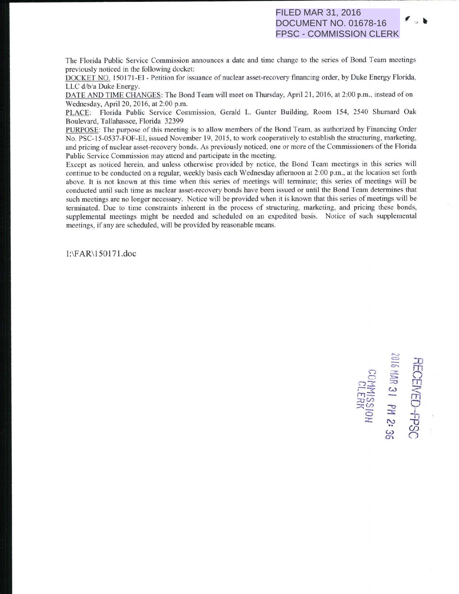## FILED MAR 31, 2016 DOCUMENT NO. 01678-16 FPSC - COMMISSION CLERK

The Florida Public Service Commission announces a date and time change to the series of Bond Team meetings previously noticed in the following docket:

DOCKET NO. 150171-EI - Petition for issuance of nuclear asset-recovery financing order, by Duke Energy Florida, LLC d/b/a Duke Energy.

DATE AND TIME CHANGES: The Bond Team will meet on Thursday, April 21, 2016, at 2:00 p.m., instead of on Wednesday, April 20, 2016, at 2:00 p.m.

PLACE: Florida Public Service Commission. Gerald L. Gunter Building, Room 154, 2540 Shumard Oak Boulevard, Tallahassee, Florida 32399

PURPOSE: The purpose of this meeting is to allow members of the Bond Team, as authorized by Financing Order No. PSC-15-0537-FOF-EI, issued November 19, 2015, to work cooperatively to establish the structuring, marketing, and pricing of nuclear asset-recovery bonds. As previously noticed, one or more of the Commissioners of the Florida Public Service Commission may attend and participate in the meeting.

Except as noticed herein, and unless otherwise provided by notice, the Bond Team meetings in this series will continue to be conducted on a regular, weekly basis each Wednesday afternoon at 2:00 p.m., at the location set forth above. It is not known at this time when this series of meetings will terminate; this series of meetings will be conducted until such time as nuclear asset-recovery bonds have been issued or until the Bond Team determines that such meetings are no longer necessary. Notice will be provided when it is known that this series of meetings will be terminated. Due to time constraints inherent in the process of structuring, marketing, and pricing these bonds, supplemental meetings might be needed and scheduled on an expedited basis. Notice of such supplemental <sup>m</sup>eetings, if any are scheduled, will be provided by reasonable means.

1:\F AR\ 150 17 1.doc

 $\mathbb{E}$  ,  $\mathbb{E}$ FC<br> **F19**<br> **F19**  $n \geq 2$  in  $\sim$   $\omega$  $\overline{\mathcal{D}}\Omega$  $\overline{P}$   $\overline{P}$   $\overline{Q}$ <u>同</u> 록 쉬 PSC<br>2: 36

...... -